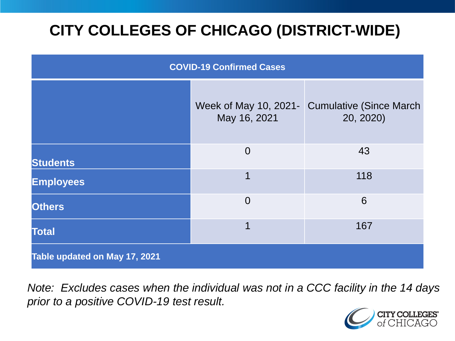# **CITY COLLEGES OF CHICAGO (DISTRICT-WIDE)**

| <b>COVID-19 Confirmed Cases</b> |                                       |                                              |
|---------------------------------|---------------------------------------|----------------------------------------------|
|                                 | Week of May 10, 2021-<br>May 16, 2021 | <b>Cumulative (Since March)</b><br>20, 2020) |
| <b>Students</b>                 | $\overline{0}$                        | 43                                           |
| <b>Employees</b>                | 1                                     | 118                                          |
| <b>Others</b>                   | $\overline{0}$                        | 6                                            |
| <b>Total</b>                    | 1                                     | 167                                          |
| Table updated on May 17, 2021   |                                       |                                              |

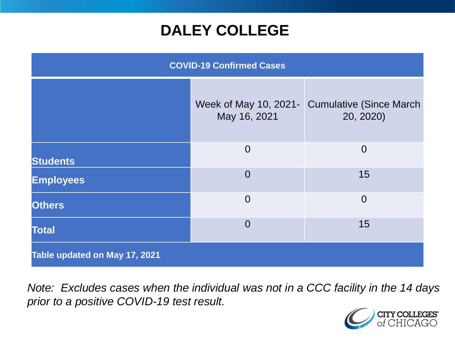### **DALEY COLLEGE**

| <b>COVID-19 Confirmed Cases</b> |                                       |                                              |
|---------------------------------|---------------------------------------|----------------------------------------------|
|                                 | Week of May 10, 2021-<br>May 16, 2021 | <b>Cumulative (Since March)</b><br>20, 2020) |
| <b>Students</b>                 | $\overline{0}$                        | $\overline{0}$                               |
| <b>Employees</b>                | $\overline{0}$                        | 15                                           |
| <b>Others</b>                   | $\overline{0}$                        | $\overline{0}$                               |
| <b>Total</b>                    | $\overline{0}$                        | 15                                           |
| Table updated on May 17, 2021   |                                       |                                              |

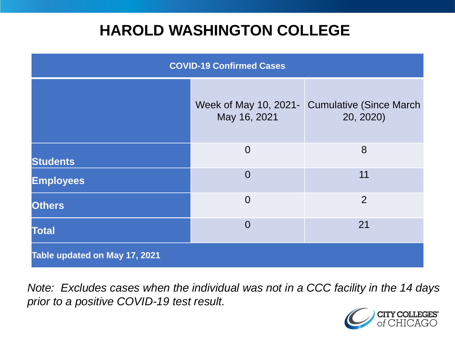### **HAROLD WASHINGTON COLLEGE**

| <b>COVID-19 Confirmed Cases</b> |                                       |                                              |
|---------------------------------|---------------------------------------|----------------------------------------------|
|                                 | Week of May 10, 2021-<br>May 16, 2021 | <b>Cumulative (Since March)</b><br>20, 2020) |
| <b>Students</b>                 | $\overline{0}$                        | 8                                            |
| <b>Employees</b>                | $\Omega$                              | 11                                           |
| <b>Others</b>                   | $\overline{0}$                        | $\overline{2}$                               |
| <b>Total</b>                    | $\Omega$                              | 21                                           |
| Table updated on May 17, 2021   |                                       |                                              |

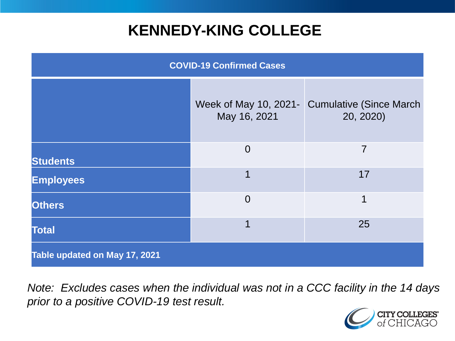### **KENNEDY-KING COLLEGE**

| <b>COVID-19 Confirmed Cases</b> |                                       |                                              |
|---------------------------------|---------------------------------------|----------------------------------------------|
|                                 | Week of May 10, 2021-<br>May 16, 2021 | <b>Cumulative (Since March)</b><br>20, 2020) |
| <b>Students</b>                 | $\overline{0}$                        | 7                                            |
| <b>Employees</b>                | 1                                     | 17                                           |
| <b>Others</b>                   | $\overline{0}$                        | 1                                            |
| <b>Total</b>                    | 1                                     | 25                                           |
| Table updated on May 17, 2021   |                                       |                                              |

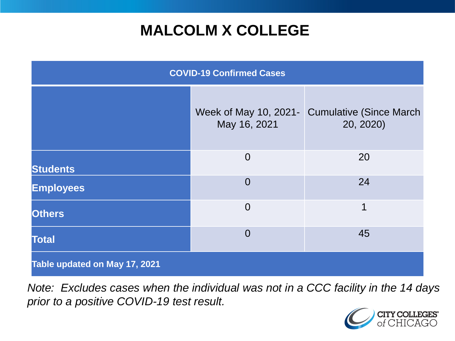## **MALCOLM X COLLEGE**

| <b>COVID-19 Confirmed Cases</b> |                |                                                            |
|---------------------------------|----------------|------------------------------------------------------------|
|                                 | May 16, 2021   | Week of May 10, 2021- Cumulative (Since March<br>20, 2020) |
| <b>Students</b>                 | $\overline{0}$ | 20                                                         |
| <b>Employees</b>                | $\overline{0}$ | 24                                                         |
| <b>Others</b>                   | $\overline{0}$ | 1                                                          |
| <b>Total</b>                    | $\overline{0}$ | 45                                                         |
| Table updated on May 17, 2021   |                |                                                            |

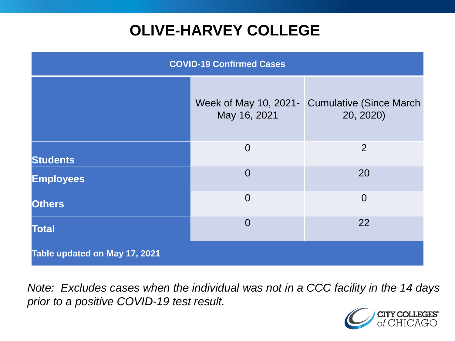# **OLIVE-HARVEY COLLEGE**

| <b>COVID-19 Confirmed Cases</b> |                                       |                                              |
|---------------------------------|---------------------------------------|----------------------------------------------|
|                                 | Week of May 10, 2021-<br>May 16, 2021 | <b>Cumulative (Since March)</b><br>20, 2020) |
| <b>Students</b>                 | $\overline{0}$                        | 2                                            |
| <b>Employees</b>                | $\Omega$                              | 20                                           |
| <b>Others</b>                   | $\overline{0}$                        | $\overline{0}$                               |
| <b>Total</b>                    | $\overline{0}$                        | 22                                           |
| Table updated on May 17, 2021   |                                       |                                              |

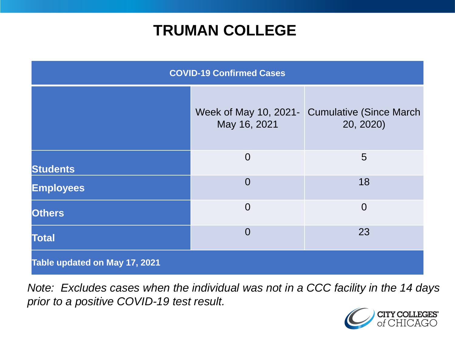### **TRUMAN COLLEGE**

| <b>COVID-19 Confirmed Cases</b> |                                       |                                             |
|---------------------------------|---------------------------------------|---------------------------------------------|
|                                 | Week of May 10, 2021-<br>May 16, 2021 | <b>Cumulative (Since March</b><br>20, 2020) |
| <b>Students</b>                 | $\overline{0}$                        | 5                                           |
| <b>Employees</b>                | $\overline{0}$                        | 18                                          |
| <b>Others</b>                   | $\overline{0}$                        | $\overline{0}$                              |
| <b>Total</b>                    | $\overline{0}$                        | 23                                          |
| Table updated on May 17, 2021   |                                       |                                             |

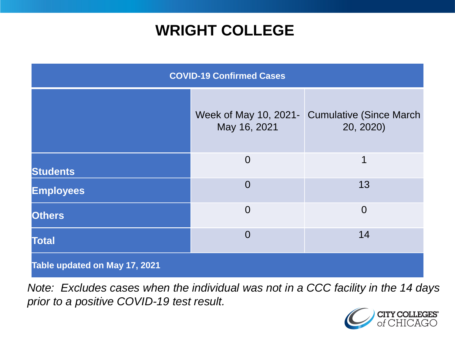### **WRIGHT COLLEGE**

| <b>COVID-19 Confirmed Cases</b> |                                       |                                              |
|---------------------------------|---------------------------------------|----------------------------------------------|
|                                 | Week of May 10, 2021-<br>May 16, 2021 | <b>Cumulative (Since March)</b><br>20, 2020) |
| <b>Students</b>                 | $\overline{0}$                        | 1                                            |
| <b>Employees</b>                | $\overline{0}$                        | 13                                           |
| <b>Others</b>                   | $\overline{0}$                        | $\overline{0}$                               |
| <b>Total</b>                    | $\overline{0}$                        | 14                                           |
| Table updated on May 17, 2021   |                                       |                                              |